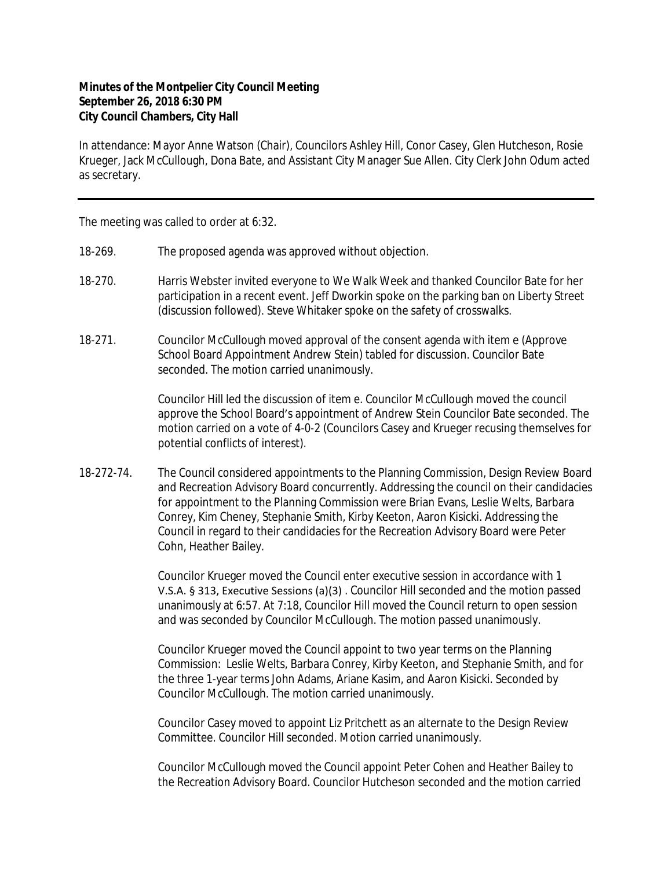## **Minutes of the Montpelier City Council Meeting September 26, 2018 6:30 PM City Council Chambers, City Hall**

In attendance: Mayor Anne Watson (Chair), Councilors Ashley Hill, Conor Casey, Glen Hutcheson, Rosie Krueger, Jack McCullough, Dona Bate, and Assistant City Manager Sue Allen. City Clerk John Odum acted as secretary.

The meeting was called to order at 6:32.

- 18-269. The proposed agenda was approved without objection.
- 18-270. Harris Webster invited everyone to We Walk Week and thanked Councilor Bate for her participation in a recent event. Jeff Dworkin spoke on the parking ban on Liberty Street (discussion followed). Steve Whitaker spoke on the safety of crosswalks.
- 18-271. Councilor McCullough moved approval of the consent agenda with item e (Approve School Board Appointment Andrew Stein) tabled for discussion. Councilor Bate seconded. The motion carried unanimously.

Councilor Hill led the discussion of item e. Councilor McCullough moved the council approve the School Board's appointment of Andrew Stein Councilor Bate seconded. The motion carried on a vote of 4-0-2 (Councilors Casey and Krueger recusing themselves for potential conflicts of interest).

18-272-74. The Council considered appointments to the Planning Commission, Design Review Board and Recreation Advisory Board concurrently. Addressing the council on their candidacies for appointment to the Planning Commission were Brian Evans, Leslie Welts, Barbara Conrey, Kim Cheney, Stephanie Smith, Kirby Keeton, Aaron Kisicki. Addressing the Council in regard to their candidacies for the Recreation Advisory Board were Peter Cohn, Heather Bailey.

> Councilor Krueger moved the Council enter executive session in accordance with 1 V.S.A. § 313, Executive Sessions (a)(3) . Councilor Hill seconded and the motion passed unanimously at 6:57. At 7:18, Councilor Hill moved the Council return to open session and was seconded by Councilor McCullough. The motion passed unanimously.

> Councilor Krueger moved the Council appoint to two year terms on the Planning Commission: Leslie Welts, Barbara Conrey, Kirby Keeton, and Stephanie Smith, and for the three 1-year terms John Adams, Ariane Kasim, and Aaron Kisicki. Seconded by Councilor McCullough. The motion carried unanimously.

Councilor Casey moved to appoint Liz Pritchett as an alternate to the Design Review Committee. Councilor Hill seconded. Motion carried unanimously.

Councilor McCullough moved the Council appoint Peter Cohen and Heather Bailey to the Recreation Advisory Board. Councilor Hutcheson seconded and the motion carried